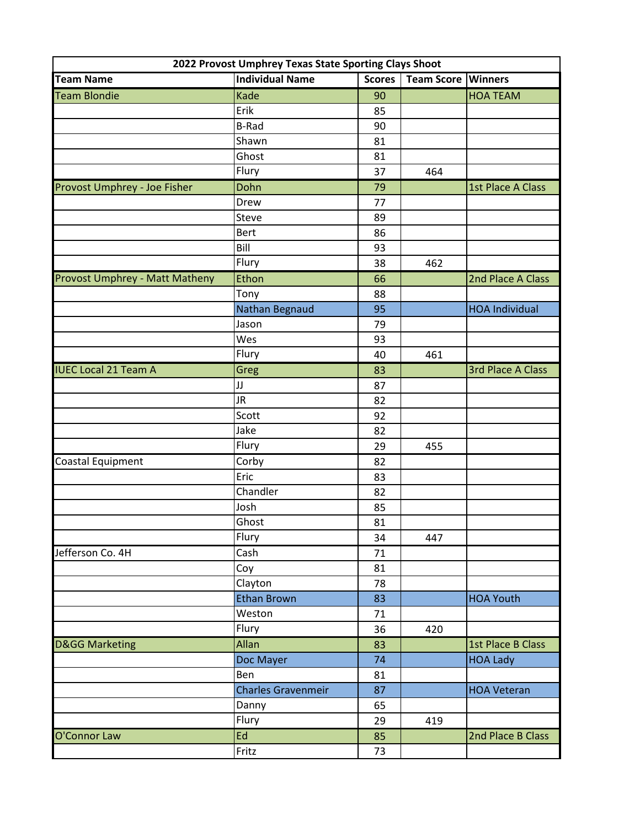| 2022 Provost Umphrey Texas State Sporting Clays Shoot |                           |               |                   |                          |  |  |
|-------------------------------------------------------|---------------------------|---------------|-------------------|--------------------------|--|--|
| <b>Team Name</b>                                      | <b>Individual Name</b>    | <b>Scores</b> | <b>Team Score</b> | <b>Winners</b>           |  |  |
| <b>Team Blondie</b>                                   | Kade                      | 90            |                   | <b>HOA TEAM</b>          |  |  |
|                                                       | Erik                      | 85            |                   |                          |  |  |
|                                                       | <b>B-Rad</b>              | 90            |                   |                          |  |  |
|                                                       | Shawn                     | 81            |                   |                          |  |  |
|                                                       | Ghost                     | 81            |                   |                          |  |  |
|                                                       | Flury                     | 37            | 464               |                          |  |  |
| Provost Umphrey - Joe Fisher                          | Dohn                      | 79            |                   | 1st Place A Class        |  |  |
|                                                       | Drew                      | 77            |                   |                          |  |  |
|                                                       | Steve                     | 89            |                   |                          |  |  |
|                                                       | <b>Bert</b>               | 86            |                   |                          |  |  |
|                                                       | Bill                      | 93            |                   |                          |  |  |
|                                                       | Flury                     | 38            | 462               |                          |  |  |
| Provost Umphrey - Matt Matheny                        | Ethon                     | 66            |                   | 2nd Place A Class        |  |  |
|                                                       | Tony                      | 88            |                   |                          |  |  |
|                                                       | Nathan Begnaud            | 95            |                   | <b>HOA Individual</b>    |  |  |
|                                                       | Jason                     | 79            |                   |                          |  |  |
|                                                       | Wes                       | 93            |                   |                          |  |  |
|                                                       | Flury                     | 40            | 461               |                          |  |  |
| <b>IUEC Local 21 Team A</b>                           | <b>Greg</b>               | 83            |                   | <b>3rd Place A Class</b> |  |  |
|                                                       | JJ                        | 87            |                   |                          |  |  |
|                                                       | <b>JR</b>                 | 82            |                   |                          |  |  |
|                                                       | Scott                     | 92            |                   |                          |  |  |
|                                                       | Jake                      | 82            |                   |                          |  |  |
|                                                       | Flury                     | 29            | 455               |                          |  |  |
| Coastal Equipment                                     | Corby                     | 82            |                   |                          |  |  |
|                                                       | Eric                      | 83            |                   |                          |  |  |
|                                                       | Chandler                  | 82            |                   |                          |  |  |
|                                                       | Josh                      | 85            |                   |                          |  |  |
|                                                       | Ghost                     | 81            |                   |                          |  |  |
|                                                       | Flury                     | 34            | 447               |                          |  |  |
| Jefferson Co. 4H                                      | Cash                      | 71            |                   |                          |  |  |
|                                                       | Coy                       | 81            |                   |                          |  |  |
|                                                       | Clayton                   | 78            |                   |                          |  |  |
|                                                       | <b>Ethan Brown</b>        | 83            |                   | <b>HOA Youth</b>         |  |  |
|                                                       | Weston                    | 71            |                   |                          |  |  |
|                                                       | Flury                     | 36            | 420               |                          |  |  |
| <b>D&amp;GG Marketing</b>                             | Allan                     | 83            |                   | 1st Place B Class        |  |  |
|                                                       | Doc Mayer                 | 74            |                   | <b>HOA Lady</b>          |  |  |
|                                                       | Ben                       | 81            |                   |                          |  |  |
|                                                       | <b>Charles Gravenmeir</b> | 87            |                   | <b>HOA Veteran</b>       |  |  |
|                                                       | Danny                     | 65            |                   |                          |  |  |
|                                                       | Flury                     | 29            | 419               |                          |  |  |
| O'Connor Law                                          | Ed                        | 85            |                   | 2nd Place B Class        |  |  |
|                                                       | Fritz                     | 73            |                   |                          |  |  |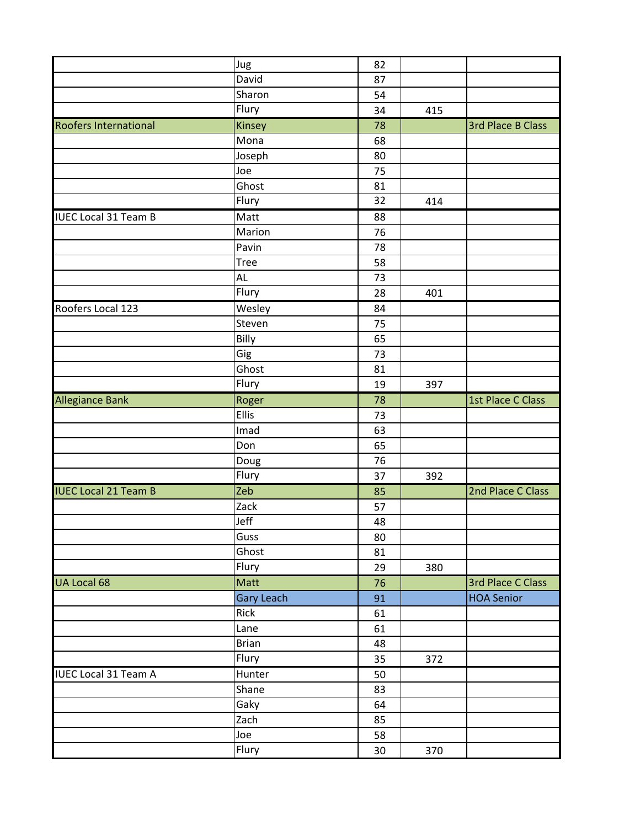|                              | Jug                | 82     |     |                          |
|------------------------------|--------------------|--------|-----|--------------------------|
|                              | David              | 87     |     |                          |
|                              | Sharon             | 54     |     |                          |
|                              | Flury              | 34     | 415 |                          |
| <b>Roofers International</b> | Kinsey             | 78     |     | <b>3rd Place B Class</b> |
|                              | Mona               | 68     |     |                          |
|                              | Joseph             | 80     |     |                          |
|                              | Joe                | 75     |     |                          |
|                              | Ghost              | 81     |     |                          |
|                              | Flury              | 32     | 414 |                          |
| <b>IUEC Local 31 Team B</b>  | Matt               | 88     |     |                          |
|                              | Marion             | 76     |     |                          |
|                              | Pavin              | 78     |     |                          |
|                              | Tree               | 58     |     |                          |
|                              | AL                 | 73     |     |                          |
|                              | Flury              | 28     | 401 |                          |
| Roofers Local 123            | Wesley             | 84     |     |                          |
|                              | Steven             | 75     |     |                          |
|                              | Billy              | 65     |     |                          |
|                              | Gig                | 73     |     |                          |
|                              | Ghost              | 81     |     |                          |
|                              | Flury              | 19     | 397 |                          |
| Allegiance Bank              | Roger              | 78     |     | 1st Place C Class        |
|                              | Ellis              | 73     |     |                          |
|                              | Imad               | 63     |     |                          |
|                              | Don                | 65     |     |                          |
|                              | Doug               | 76     |     |                          |
|                              | Flury              | 37     | 392 |                          |
| <b>IUEC Local 21 Team B</b>  | Zeb                | 85     |     | 2nd Place C Class        |
|                              | $\overline{z}$ ack | 57     |     |                          |
|                              | Jeff               | 48     |     |                          |
|                              | Guss               | 80     |     |                          |
|                              | Ghost              | 81     |     |                          |
|                              | Flury              | 29     | 380 |                          |
| UA Local 68                  | Matt               | 76     |     | 3rd Place C Class        |
|                              | <b>Gary Leach</b>  | 91     |     | <b>HOA Senior</b>        |
|                              | Rick               | 61     |     |                          |
|                              | Lane               | 61     |     |                          |
|                              | <b>Brian</b>       | 48     |     |                          |
|                              | Flury              | 35     | 372 |                          |
| <b>IUEC Local 31 Team A</b>  | Hunter             | 50     |     |                          |
|                              | Shane              | 83     |     |                          |
|                              | Gaky               | 64     |     |                          |
|                              | Zach               | 85     |     |                          |
|                              | Joe                | 58     |     |                          |
|                              | Flury              | $30\,$ | 370 |                          |